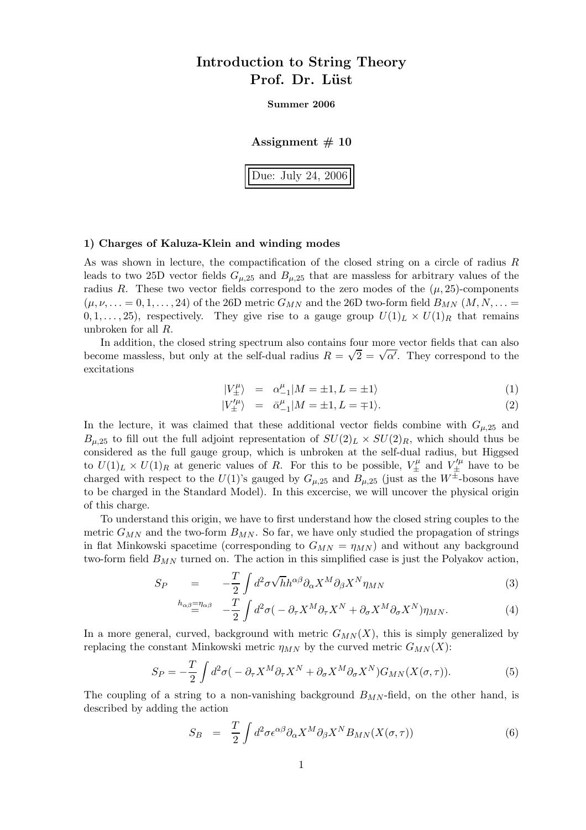# Introduction to String Theory Prof. Dr. Lüst

Summer 2006

Assignment  $# 10$ 

Due: July 24, 2006

## 1) Charges of Kaluza-Klein and winding modes

As was shown in lecture, the compactification of the closed string on a circle of radius R leads to two 25D vector fields  $G_{\mu,25}$  and  $B_{\mu,25}$  that are massless for arbitrary values of the radius R. These two vector fields correspond to the zero modes of the  $(\mu, 25)$ -components  $(\mu, \nu, \dots = 0, 1, \dots, 24)$  of the 26D metric  $G_{MN}$  and the 26D two-form field  $B_{MN}$   $(M, N, \dots = 0, 1, \dots, 24)$  $(0, 1, \ldots, 25)$ , respectively. They give rise to a gauge group  $U(1)_L \times U(1)_R$  that remains unbroken for all R.

In addition, the closed string spectrum also contains four more vector fields that can also become massless, but only at the self-dual radius  $R = \sqrt{2} = \sqrt{\alpha'}$ . They correspond to the excitations

$$
|V^{\mu}_{\pm}\rangle = \alpha^{\mu}_{-1}|M = \pm 1, L = \pm 1\rangle \tag{1}
$$

$$
|V_{\pm}^{\prime \mu}\rangle = \bar{\alpha}_{-1}^{\mu}|M = \pm 1, L = \mp 1\rangle. \tag{2}
$$

In the lecture, it was claimed that these additional vector fields combine with  $G_{\mu,25}$  and  $B_{\mu,25}$  to fill out the full adjoint representation of  $SU(2)_L \times SU(2)_R$ , which should thus be considered as the full gauge group, which is unbroken at the self-dual radius, but Higgsed to  $U(1)_L \times U(1)_R$  at generic values of R. For this to be possible,  $V^{\mu}_{\pm}$  and  $V'^{\mu}_{\pm}$  have to be charged with respect to the  $U(1)$ 's gauged by  $G_{\mu,25}$  and  $B_{\mu,25}$  (just as the  $W^{\pm}$ -bosons have to be charged in the Standard Model). In this excercise, we will uncover the physical origin of this charge.

To understand this origin, we have to first understand how the closed string couples to the metric  $G_{MN}$  and the two-form  $B_{MN}$ . So far, we have only studied the propagation of strings in flat Minkowski spacetime (corresponding to  $G_{MN} = \eta_{MN}$ ) and without any background two-form field  $B_{MN}$  turned on. The action in this simplified case is just the Polyakov action,

$$
S_P = -\frac{T}{2} \int d^2 \sigma \sqrt{h} h^{\alpha \beta} \partial_\alpha X^M \partial_\beta X^N \eta_{MN}
$$
 (3)

$$
{}^{h_{\alpha\beta}=n_{\alpha\beta}} - \frac{T}{2} \int d^2\sigma \left( -\partial_\tau X^M \partial_\tau X^N + \partial_\sigma X^M \partial_\sigma X^N \right) \eta_{MN}.
$$
 (4)

In a more general, curved, background with metric  $G_{MN}(X)$ , this is simply generalized by replacing the constant Minkowski metric  $\eta_{MN}$  by the curved metric  $G_{MN}(X)$ :

$$
S_P = -\frac{T}{2} \int d^2\sigma \left( -\partial_\tau X^M \partial_\tau X^N + \partial_\sigma X^M \partial_\sigma X^N \right) G_{MN}(X(\sigma, \tau)). \tag{5}
$$

The coupling of a string to a non-vanishing background  $B_{MN}$ -field, on the other hand, is described by adding the action

$$
S_B = \frac{T}{2} \int d^2 \sigma \epsilon^{\alpha \beta} \partial_{\alpha} X^M \partial_{\beta} X^N B_{MN}(X(\sigma, \tau)) \tag{6}
$$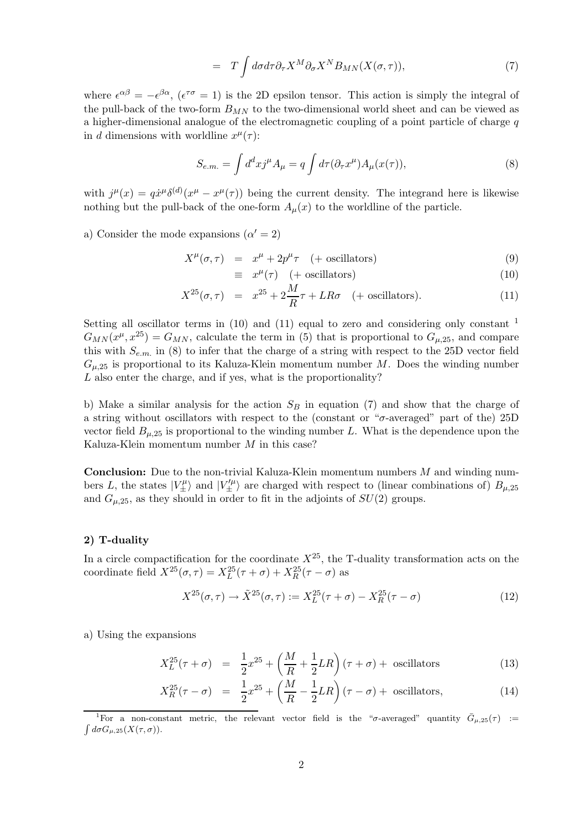$$
= T \int d\sigma d\tau \partial_{\tau} X^{M} \partial_{\sigma} X^{N} B_{MN}(X(\sigma, \tau)), \qquad (7)
$$

where  $\epsilon^{\alpha\beta} = -\epsilon^{\beta\alpha}$ ,  $(\epsilon^{\tau\sigma} = 1)$  is the 2D epsilon tensor. This action is simply the integral of the pull-back of the two-form  $B_{MN}$  to the two-dimensional world sheet and can be viewed as a higher-dimensional analogue of the electromagnetic coupling of a point particle of charge  $q$ in d dimensions with worldline  $x^{\mu}(\tau)$ :

$$
S_{e.m.} = \int d^d x j^\mu A_\mu = q \int d\tau (\partial_\tau x^\mu) A_\mu(x(\tau)), \tag{8}
$$

with  $j^{\mu}(x) = q\dot{x}^{\mu}\delta^{(d)}(x^{\mu} - x^{\mu}(\tau))$  being the current density. The integrand here is likewise nothing but the pull-back of the one-form  $A_\mu(x)$  to the worldline of the particle.

a) Consider the mode expansions  $(\alpha' = 2)$ 

$$
X^{\mu}(\sigma,\tau) = x^{\mu} + 2p^{\mu}\tau \quad (+ \text{ oscillators})
$$
\n(9)

$$
\equiv x^{\mu}(\tau) \quad (+ \text{ oscillators}) \tag{10}
$$

$$
X^{25}(\sigma,\tau) = x^{25} + 2\frac{M}{R}\tau + LR\sigma \quad (+ \text{ oscillators}). \tag{11}
$$

Setting all oscillator terms in  $(10)$  and  $(11)$  equal to zero and considering only constant  $<sup>1</sup>$ </sup>  $G_{MN}(x^{\mu},x^{25}) = G_{MN}$ , calculate the term in (5) that is proportional to  $G_{\mu,25}$ , and compare this with  $S_{e,m}$  in (8) to infer that the charge of a string with respect to the 25D vector field  $G_{\mu,25}$  is proportional to its Kaluza-Klein momentum number M. Does the winding number L also enter the charge, and if yes, what is the proportionality?

b) Make a similar analysis for the action  $S_B$  in equation (7) and show that the charge of a string without oscillators with respect to the (constant or " $\sigma$ -averaged" part of the) 25D vector field  $B_{\mu,25}$  is proportional to the winding number L. What is the dependence upon the Kaluza-Klein momentum number M in this case?

**Conclusion:** Due to the non-trivial Kaluza-Klein momentum numbers  $M$  and winding numbers L, the states  $|V_{\pm}^{\mu}\rangle$  and  $|V_{\pm}^{\prime\mu}\rangle$  are charged with respect to (linear combinations of)  $B_{\mu,25}$ and  $G_{\mu,25}$ , as they should in order to fit in the adjoints of  $SU(2)$  groups.

### 2) T-duality

In a circle compactification for the coordinate  $X^{25}$ , the T-duality transformation acts on the coordinate field  $X^{25}(\sigma, \tau) = X_L^{25}(\tau + \sigma) + X_R^{25}(\tau - \sigma)$  as

$$
X^{25}(\sigma, \tau) \to \tilde{X}^{25}(\sigma, \tau) := X_L^{25}(\tau + \sigma) - X_R^{25}(\tau - \sigma)
$$
 (12)

a) Using the expansions

$$
X_L^{25}(\tau + \sigma) = \frac{1}{2}x^{25} + \left(\frac{M}{R} + \frac{1}{2}LR\right)(\tau + \sigma) + \text{ oscillators}
$$
 (13)

$$
X_R^{25}(\tau - \sigma) = \frac{1}{2}x^{25} + \left(\frac{M}{R} - \frac{1}{2}LR\right)(\tau - \sigma) + \text{ oscillators},\tag{14}
$$

<sup>&</sup>lt;sup>1</sup>For a non-constant metric, the relevant vector field is the " $\sigma$ -averaged" quantity  $\bar{G}_{\mu,25}(\tau) := \int d\sigma G_{\mu,25}(X(\tau,\sigma))$ .  $\int d\sigma G_{\mu,25}(X(\tau,\sigma)).$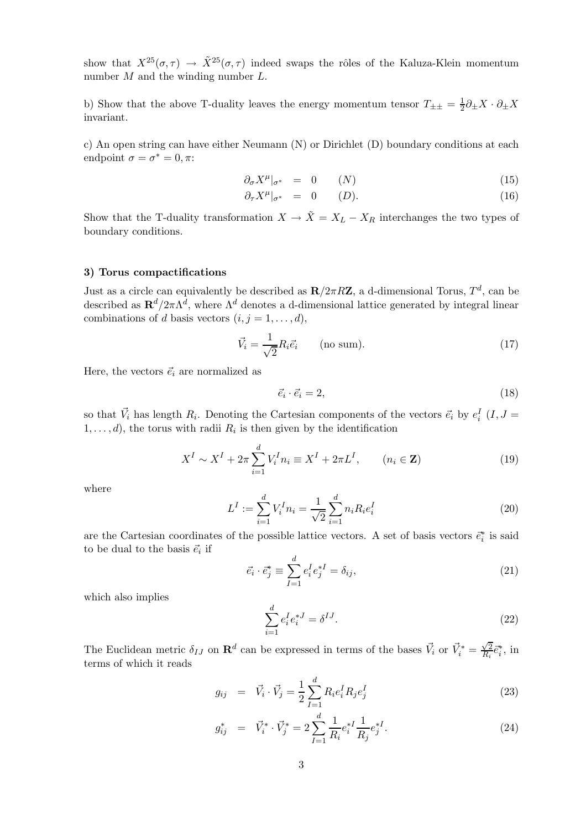show that  $X^{25}(\sigma,\tau) \to \tilde{X}^{25}(\sigma,\tau)$  indeed swaps the rôles of the Kaluza-Klein momentum number  $M$  and the winding number  $L$ .

b) Show that the above T-duality leaves the energy momentum tensor  $T_{\pm\pm} = \frac{1}{2}$  $\frac{1}{2}\partial_{\pm}X\cdot\partial_{\pm}X$ invariant.

c) An open string can have either Neumann (N) or Dirichlet (D) boundary conditions at each endpoint  $\sigma = \sigma^* = 0, \pi$ :

$$
\partial_{\sigma} X^{\mu}|_{\sigma^*} = 0 \qquad (N) \tag{15}
$$

$$
\partial_{\tau} X^{\mu}|_{\sigma^*} = 0 \qquad (D). \qquad (16)
$$

Show that the T-duality transformation  $X \to \tilde{X} = X_L - X_R$  interchanges the two types of boundary conditions.

#### 3) Torus compactifications

Just as a circle can equivalently be described as  $\mathbf{R}/2\pi R\mathbf{Z}$ , a d-dimensional Torus,  $T^d$ , can be described as  $\mathbf{R}^d/2\pi\Lambda^d$ , where  $\Lambda^d$  denotes a d-dimensional lattice generated by integral linear combinations of d basis vectors  $(i, j = 1, \ldots, d)$ ,

$$
\vec{V}_i = \frac{1}{\sqrt{2}} R_i \vec{e}_i \qquad \text{(no sum)}.
$$
\n(17)

Here, the vectors  $\vec{e}_i$  are normalized as

$$
\vec{e}_i \cdot \vec{e}_i = 2,\tag{18}
$$

so that  $\vec{V}_i$  has length  $R_i$ . Denoting the Cartesian components of the vectors  $\vec{e}_i$  by  $e_i^I$   $(I, J =$  $1, \ldots, d$ , the torus with radii  $R_i$  is then given by the identification

$$
X^{I} \sim X^{I} + 2\pi \sum_{i=1}^{d} V_{i}^{I} n_{i} \equiv X^{I} + 2\pi L^{I}, \qquad (n_{i} \in \mathbf{Z})
$$
 (19)

where

$$
L^{I} := \sum_{i=1}^{d} V_{i}^{I} n_{i} = \frac{1}{\sqrt{2}} \sum_{i=1}^{d} n_{i} R_{i} e_{i}^{I}
$$
 (20)

are the Cartesian coordinates of the possible lattice vectors. A set of basis vectors  $\vec{e}_i^*$  is said to be dual to the basis  $\vec{e}_i$  if

$$
\vec{e}_i \cdot \vec{e}_j^* \equiv \sum_{I=1}^d e_i^I e_j^{*I} = \delta_{ij},\tag{21}
$$

which also implies

$$
\sum_{i=1}^{d} e_i^I e_i^{*J} = \delta^{IJ}.
$$
\n(22)

The Euclidean metric  $\delta_{IJ}$  on  $\mathbf{R}^d$  can be expressed in terms of the bases  $\vec{V}_i$  or  $\vec{V}_i^* = \frac{\sqrt{2}}{R_i}$  $\frac{\sqrt{2}}{R_i} \vec{e}_i^*$ , in terms of which it reads

$$
g_{ij} = \vec{V}_i \cdot \vec{V}_j = \frac{1}{2} \sum_{I=1}^d R_i e_i^I R_j e_j^I \tag{23}
$$

$$
g_{ij}^* = \vec{V}_i^* \cdot \vec{V}_j^* = 2 \sum_{I=1}^d \frac{1}{R_i} e_i^{*I} \frac{1}{R_j} e_j^{*I}.
$$
 (24)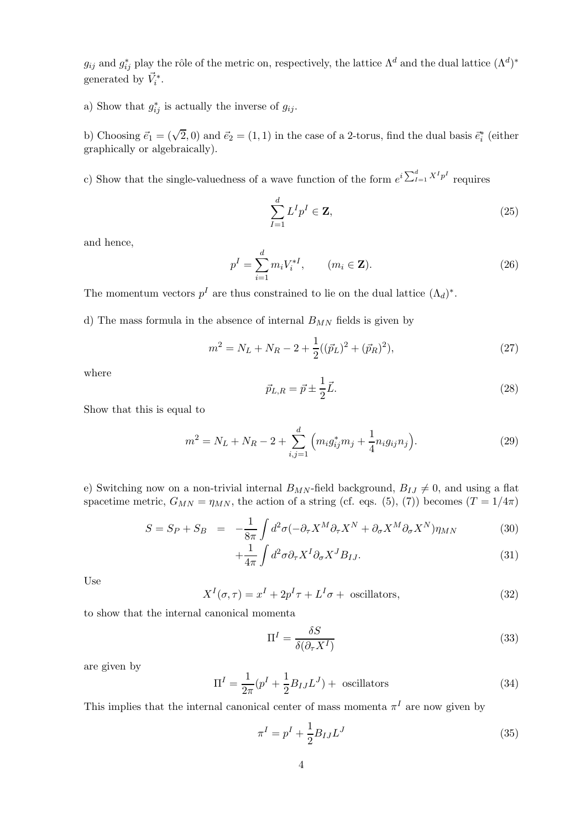$g_{ij}$  and  $g_{ij}^*$  play the rôle of the metric on, respectively, the lattice  $\Lambda^d$  and the dual lattice  $(\Lambda^d)^*$ generated by  $\vec{V}_i^*$ .

a) Show that  $g_{ij}^*$  is actually the inverse of  $g_{ij}$ .

b) Choosing  $\vec{e}_1 = (\sqrt{2}, 0)$  and  $\vec{e}_2 = (1, 1)$  in the case of a 2-torus, find the dual basis  $\vec{e}_i^*$  (either graphically or algebraically).

c) Show that the single-valuedness of a wave function of the form  $e^{i\sum_{I=1}^{d} X^{I} p^{I}}$  requires

$$
\sum_{I=1}^{d} L^{I} p^{I} \in \mathbf{Z},\tag{25}
$$

and hence,

$$
p^{I} = \sum_{i=1}^{d} m_{i} V_{i}^{*I}, \qquad (m_{i} \in \mathbf{Z}).
$$
 (26)

The momentum vectors  $p<sup>I</sup>$  are thus constrained to lie on the dual lattice  $(\Lambda_d)^*$ .

d) The mass formula in the absence of internal  $B_{MN}$  fields is given by

$$
m^{2} = N_{L} + N_{R} - 2 + \frac{1}{2}((\vec{p}_{L})^{2} + (\vec{p}_{R})^{2}),
$$
\n(27)

where

$$
\vec{p}_{L,R} = \vec{p} \pm \frac{1}{2}\vec{L}.\tag{28}
$$

Show that this is equal to

$$
m^{2} = N_{L} + N_{R} - 2 + \sum_{i,j=1}^{d} \left( m_{i} g_{ij}^{*} m_{j} + \frac{1}{4} n_{i} g_{ij} n_{j} \right).
$$
 (29)

e) Switching now on a non-trivial internal  $B_{MN}$ -field background,  $B_{IJ} \neq 0$ , and using a flat spacetime metric,  $G_{MN} = \eta_{MN}$ , the action of a string (cf. eqs. (5), (7)) becomes (T = 1/4π)

$$
S = S_P + S_B = -\frac{1}{8\pi} \int d^2\sigma (-\partial_\tau X^M \partial_\tau X^N + \partial_\sigma X^M \partial_\sigma X^N) \eta_{MN}
$$
(30)

$$
+\frac{1}{4\pi}\int d^2\sigma \partial_\tau X^I \partial_\sigma X^J B_{IJ}.\tag{31}
$$

Use

$$
X^{I}(\sigma,\tau) = x^{I} + 2p^{I}\tau + L^{I}\sigma + \text{ oscillators},\tag{32}
$$

to show that the internal canonical momenta

$$
\Pi^I = \frac{\delta S}{\delta(\partial_\tau X^I)}\tag{33}
$$

are given by

$$
\Pi^{I} = \frac{1}{2\pi} (p^{I} + \frac{1}{2} B_{IJ} L^{J}) + \text{ oscillators}
$$
\n(34)

This implies that the internal canonical center of mass momenta  $\pi^I$  are now given by

$$
\pi^I = p^I + \frac{1}{2} B_{IJ} L^J \tag{35}
$$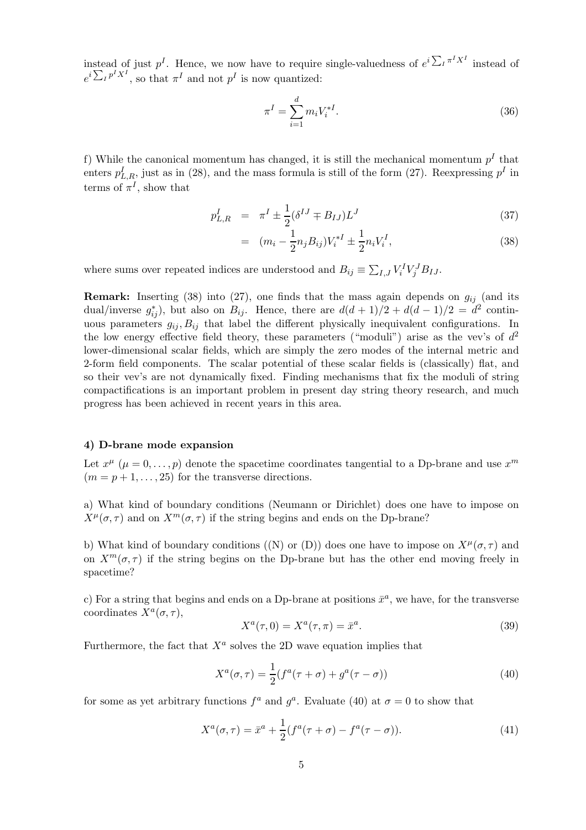instead of just  $p^I$ . Hence, we now have to require single-valuedness of  $e^{i\sum_l \pi^I X^I}$  instead of  $e^{i\sum_I p^IX^I}$ , so that  $\pi^I$  and not  $p^I$  is now quantized:

$$
\pi^I = \sum_{i=1}^d m_i V_i^{*I}.
$$
\n(36)

f) While the canonical momentum has changed, it is still the mechanical momentum  $p<sup>I</sup>$  that enters  $p_{L,R}^I$ , just as in (28), and the mass formula is still of the form (27). Reexpressing  $p^I$  in terms of  $\pi^I$ , show that

$$
p_{L,R}^I = \pi^I \pm \frac{1}{2} (\delta^{IJ} \mp B_{IJ}) L^J \tag{37}
$$

$$
= (m_i - \frac{1}{2} n_j B_{ij}) V_i^{*I} \pm \frac{1}{2} n_i V_i^I,
$$
\n(38)

where sums over repeated indices are understood and  $B_{ij} \equiv \sum_{I,J} V_i^I V_j^J B_{IJ}$ .

**Remark:** Inserting (38) into (27), one finds that the mass again depends on  $g_{ii}$  (and its dual/inverse  $g_{ij}^*$ ), but also on  $B_{ij}$ . Hence, there are  $d(d+1)/2 + d(d-1)/2 = d^2$  continuous parameters  $g_{ij}, B_{ij}$  that label the different physically inequivalent configurations. In the low energy effective field theory, these parameters ("moduli") arise as the vev's of  $d^2$ lower-dimensional scalar fields, which are simply the zero modes of the internal metric and 2-form field components. The scalar potential of these scalar fields is (classically) flat, and so their vev's are not dynamically fixed. Finding mechanisms that fix the moduli of string compactifications is an important problem in present day string theory research, and much progress has been achieved in recent years in this area.

#### 4) D-brane mode expansion

Let  $x^{\mu}$   $(\mu = 0, \ldots, p)$  denote the spacetime coordinates tangential to a Dp-brane and use  $x^{m}$  $(m = p + 1, \ldots, 25)$  for the transverse directions.

a) What kind of boundary conditions (Neumann or Dirichlet) does one have to impose on  $X^{\mu}(\sigma, \tau)$  and on  $X^m(\sigma, \tau)$  if the string begins and ends on the Dp-brane?

b) What kind of boundary conditions ((N) or (D)) does one have to impose on  $X^{\mu}(\sigma, \tau)$  and on  $X^m(\sigma, \tau)$  if the string begins on the Dp-brane but has the other end moving freely in spacetime?

c) For a string that begins and ends on a Dp-brane at positions  $\bar{x}^a$ , we have, for the transverse coordinates  $X^a(\sigma, \tau)$ ,

$$
X^a(\tau,0) = X^a(\tau,\pi) = \bar{x}^a.
$$
\n
$$
(39)
$$

Furthermore, the fact that  $X^a$  solves the 2D wave equation implies that

$$
X^{a}(\sigma,\tau) = \frac{1}{2}(f^{a}(\tau+\sigma) + g^{a}(\tau-\sigma))
$$
\n(40)

for some as yet arbitrary functions  $f^a$  and  $g^a$ . Evaluate (40) at  $\sigma = 0$  to show that

$$
X^{a}(\sigma,\tau) = \bar{x}^{a} + \frac{1}{2}(f^{a}(\tau+\sigma) - f^{a}(\tau-\sigma)).
$$
\n(41)